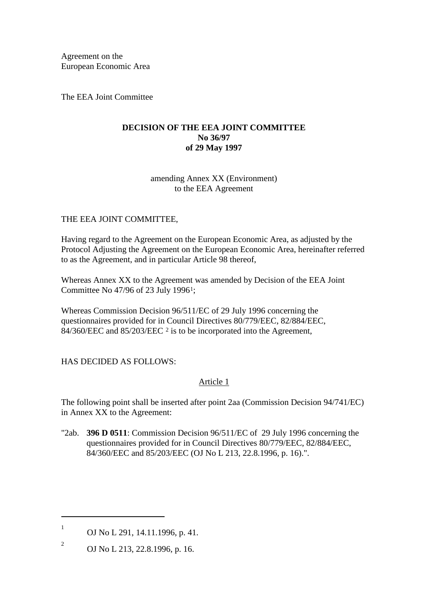Agreement on the European Economic Area

The EEA Joint Committee

## **DECISION OF THE EEA JOINT COMMITTEE No 36/97 of 29 May 1997**

## amending Annex XX (Environment) to the EEA Agreement

# THE EEA JOINT COMMITTEE,

Having regard to the Agreement on the European Economic Area, as adjusted by the Protocol Adjusting the Agreement on the European Economic Area, hereinafter referred to as the Agreement, and in particular Article 98 thereof,

Whereas Annex XX to the Agreement was amended by Decision of the EEA Joint Committee No 47/96 of 23 July 1996[1;](#page-0-0)

Whereas Commission Decision 96/511/EC of 29 July 1996 concerning the questionnaires provided for in Council Directives 80/779/EEC, 82/884/EEC, 84/360/EEC and 85/[2](#page-0-1)03/EEC <sup>2</sup> is to be incorporated into the Agreement,

## HAS DECIDED AS FOLLOWS:

## Article 1

The following point shall be inserted after point 2aa (Commission Decision 94/741/EC) in Annex XX to the Agreement:

"2ab. **396 D 0511**: Commission Decision 96/511/EC of 29 July 1996 concerning the questionnaires provided for in Council Directives 80/779/EEC, 82/884/EEC, 84/360/EEC and 85/203/EEC (OJ No L 213, 22.8.1996, p. 16).".

-

<span id="page-0-0"></span><sup>1</sup> OJ No L 291, 14.11.1996, p. 41.

<span id="page-0-1"></span><sup>2</sup> OJ No L 213, 22.8.1996, p. 16.